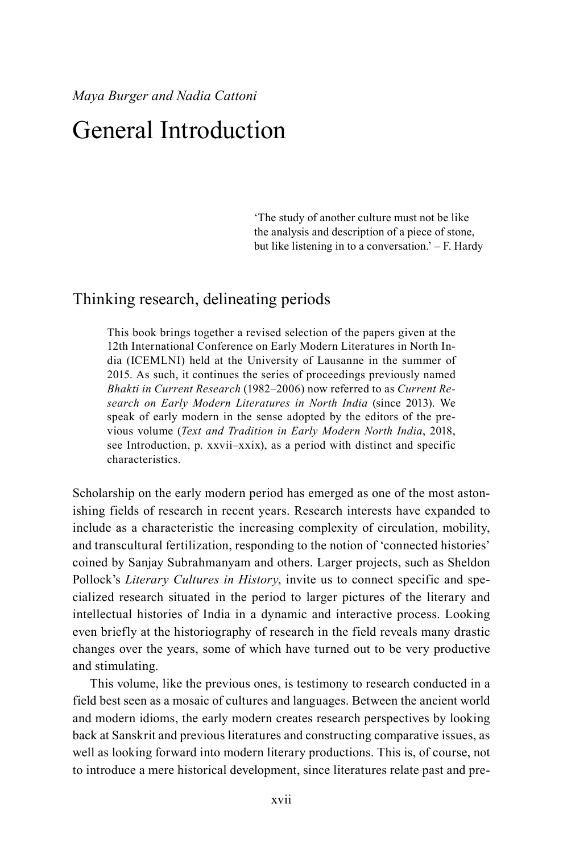## General Introduction

'The study of another culture must not be like the analysis and description of a piece of stone, but like listening in to a conversation.' – F. Hardy

## Thinking research, delineating periods

This book brings together a revised selection of the papers given at the 12th International Conference on Early Modern Literatures in North India (ICEMLNI) held at the University of Lausanne in the summer of 2015. As such, it continues the series of proceedings previously named *Bhakti in Current Research* (1982–2006) now referred to as *Current Research on Early Modern Literatures in North India* (since 2013). We speak of early modern in the sense adopted by the editors of the previous volume (*Text and Tradition in Early Modern North India*, 2018, see Introduction, p. xxvii–xxix), as a period with distinct and specific characteristics.

Scholarship on the early modern period has emerged as one of the most astonishing fields of research in recent years. Research interests have expanded to include as a characteristic the increasing complexity of circulation, mobility, and transcultural fertilization, responding to the notion of 'connected histories' coined by Sanjay Subrahmanyam and others. Larger projects, such as Sheldon Pollock's *Literary Cultures in History*, invite us to connect specific and specialized research situated in the period to larger pictures of the literary and intellectual histories of India in a dynamic and interactive process. Looking even briefly at the historiography of research in the field reveals many drastic changes over the years, some of which have turned out to be very productive and stimulating.

This volume, like the previous ones, is testimony to research conducted in a field best seen as a mosaic of cultures and languages. Between the ancient world and modern idioms, the early modern creates research perspectives by looking back at Sanskrit and previous literatures and constructing comparative issues, as well as looking forward into modern literary productions. This is, of course, not to introduce a mere historical development, since literatures relate past and pre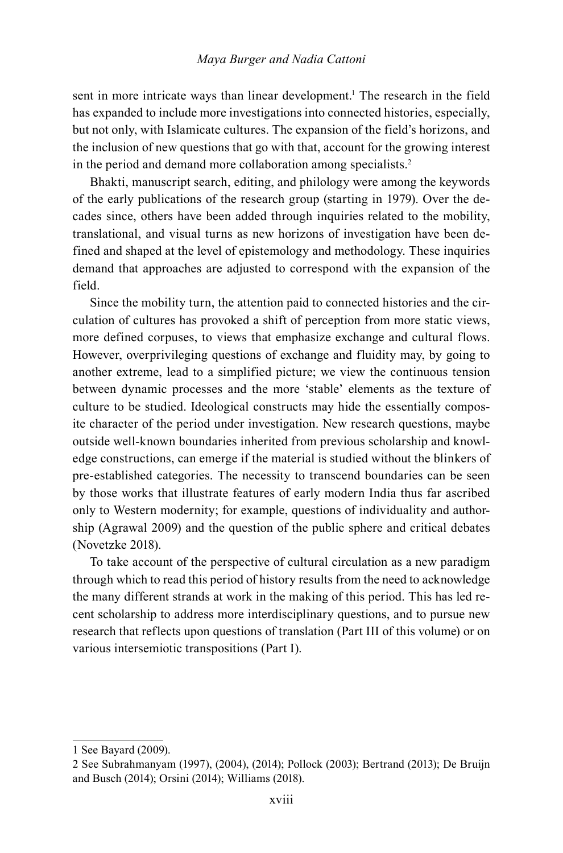sent in more intricate ways than linear development.<sup>1</sup> The research in the field has expanded to include more investigations into connected histories, especially, but not only, with Islamicate cultures. The expansion of the field's horizons, and the inclusion of new questions that go with that, account for the growing interest in the period and demand more collaboration among specialists.<sup>2</sup>

Bhakti, manuscript search, editing, and philology were among the keywords of the early publications of the research group (starting in 1979). Over the decades since, others have been added through inquiries related to the mobility, translational, and visual turns as new horizons of investigation have been defined and shaped at the level of epistemology and methodology. These inquiries demand that approaches are adjusted to correspond with the expansion of the field.

Since the mobility turn, the attention paid to connected histories and the circulation of cultures has provoked a shift of perception from more static views, more defined corpuses, to views that emphasize exchange and cultural flows. However, overprivileging questions of exchange and fluidity may, by going to another extreme, lead to a simplified picture; we view the continuous tension between dynamic processes and the more 'stable' elements as the texture of culture to be studied. Ideological constructs may hide the essentially composite character of the period under investigation. New research questions, maybe outside well-known boundaries inherited from previous scholarship and knowledge constructions, can emerge if the material is studied without the blinkers of pre-established categories. The necessity to transcend boundaries can be seen by those works that illustrate features of early modern India thus far ascribed only to Western modernity; for example, questions of individuality and authorship (Agrawal 2009) and the question of the public sphere and critical debates (Novetzke 2018).

To take account of the perspective of cultural circulation as a new paradigm through which to read this period of history results from the need to acknowledge the many different strands at work in the making of this period. This has led recent scholarship to address more interdisciplinary questions, and to pursue new research that reflects upon questions of translation (Part III of this volume) or on various intersemiotic transpositions (Part I).

<sup>1</sup> See Bayard (2009).

<sup>2</sup> See Subrahmanyam (1997), (2004), (2014); Pollock (2003); Bertrand (2013); De Bruijn and Busch (2014); Orsini (2014); Williams (2018).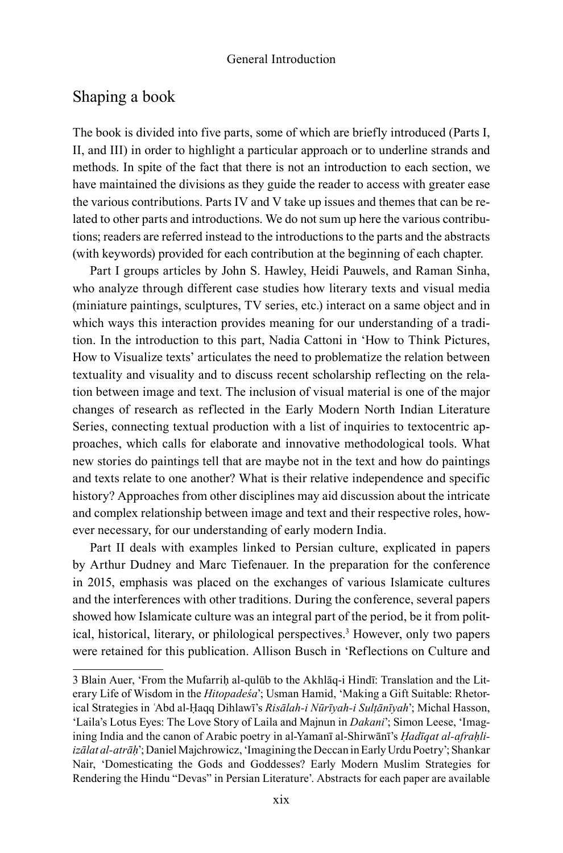## Shaping a book

The book is divided into five parts, some of which are briefly introduced (Parts I, II, and III) in order to highlight a particular approach or to underline strands and methods. In spite of the fact that there is not an introduction to each section, we have maintained the divisions as they guide the reader to access with greater ease the various contributions. Parts IV and V take up issues and themes that can be related to other parts and introductions. We do not sum up here the various contributions; readers are referred instead to the introductions to the parts and the abstracts (with keywords) provided for each contribution at the beginning of each chapter.

Part I groups articles by John S. Hawley, Heidi Pauwels, and Raman Sinha, who analyze through different case studies how literary texts and visual media (miniature paintings, sculptures, TV series, etc.) interact on a same object and in which ways this interaction provides meaning for our understanding of a tradition. In the introduction to this part, Nadia Cattoni in 'How to Think Pictures, How to Visualize texts' articulates the need to problematize the relation between textuality and visuality and to discuss recent scholarship reflecting on the relation between image and text. The inclusion of visual material is one of the major changes of research as reflected in the Early Modern North Indian Literature Series, connecting textual production with a list of inquiries to textocentric approaches, which calls for elaborate and innovative methodological tools. What new stories do paintings tell that are maybe not in the text and how do paintings and texts relate to one another? What is their relative independence and specific history? Approaches from other disciplines may aid discussion about the intricate and complex relationship between image and text and their respective roles, however necessary, for our understanding of early modern India.

Part II deals with examples linked to Persian culture, explicated in papers by Arthur Dudney and Marc Tiefenauer. In the preparation for the conference in 2015, emphasis was placed on the exchanges of various Islamicate cultures and the interferences with other traditions. During the conference, several papers showed how Islamicate culture was an integral part of the period, be it from political, historical, literary, or philological perspectives.3 However, only two papers were retained for this publication. Allison Busch in 'Reflections on Culture and

<sup>3</sup> Blain Auer, 'From the Mufarriḥ al-qulūb to the Akhlāq-i Hindī: Translation and the Literary Life of Wisdom in the *Hitopadeśa*'; Usman Hamid, 'Making a Gift Suitable: Rhetorical Strategies in ʿAbd al-Ḥaqq Dihlawī's *Risālah-i Nūrīyah-i Sulṭānīyah*'; Michal Hasson, 'Laila's Lotus Eyes: The Love Story of Laila and Majnun in *Dakani*'; Simon Leese, 'Imagining India and the canon of Arabic poetry in al-Yamanī al-Shirwānī's *Ḥadīqat al-afraḥliizālat al-atrāḥ*'; Daniel Majchrowicz, 'Imagining the Deccan in Early Urdu Poetry'; Shankar Nair, 'Domesticating the Gods and Goddesses? Early Modern Muslim Strategies for Rendering the Hindu "Devas" in Persian Literature'. Abstracts for each paper are available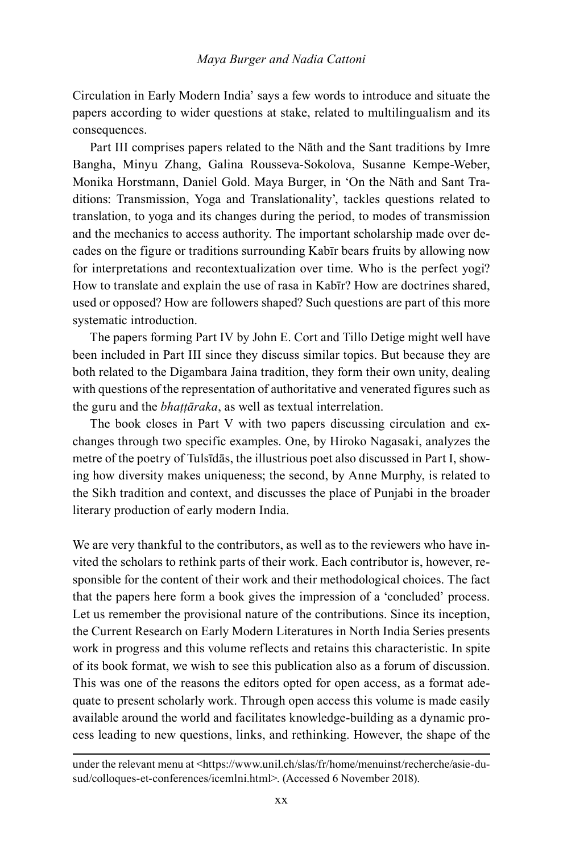Circulation in Early Modern India' says a few words to introduce and situate the papers according to wider questions at stake, related to multilingualism and its consequences.

Part III comprises papers related to the Nāth and the Sant traditions by Imre Bangha, Minyu Zhang, Galina Rousseva-Sokolova, Susanne Kempe-Weber, Monika Horstmann, Daniel Gold. Maya Burger, in 'On the Nāth and Sant Traditions: Transmission, Yoga and Translationality', tackles questions related to translation, to yoga and its changes during the period, to modes of transmission and the mechanics to access authority. The important scholarship made over decades on the figure or traditions surrounding Kabīr bears fruits by allowing now for interpretations and recontextualization over time. Who is the perfect yogi? How to translate and explain the use of rasa in Kabīr? How are doctrines shared, used or opposed? How are followers shaped? Such questions are part of this more systematic introduction.

The papers forming Part IV by John E. Cort and Tillo Detige might well have been included in Part III since they discuss similar topics. But because they are both related to the Digambara Jaina tradition, they form their own unity, dealing with questions of the representation of authoritative and venerated figures such as the guru and the *bhaṭṭāraka*, as well as textual interrelation.

The book closes in Part V with two papers discussing circulation and exchanges through two specific examples. One, by Hiroko Nagasaki, analyzes the metre of the poetry of Tulsīdās, the illustrious poet also discussed in Part I, showing how diversity makes uniqueness; the second, by Anne Murphy, is related to the Sikh tradition and context, and discusses the place of Punjabi in the broader literary production of early modern India.

We are very thankful to the contributors, as well as to the reviewers who have invited the scholars to rethink parts of their work. Each contributor is, however, responsible for the content of their work and their methodological choices. The fact that the papers here form a book gives the impression of a 'concluded' process. Let us remember the provisional nature of the contributions. Since its inception, the Current Research on Early Modern Literatures in North India Series presents work in progress and this volume reflects and retains this characteristic. In spite of its book format, we wish to see this publication also as a forum of discussion. This was one of the reasons the editors opted for open access, as a format adequate to present scholarly work. Through open access this volume is made easily available around the world and facilitates knowledge-building as a dynamic process leading to new questions, links, and rethinking. However, the shape of the

under the relevant menu at <https://www.unil.ch/slas/fr/home/menuinst/recherche/asie-dusud/colloques-et-conferences/icemlni.html>. (Accessed 6 November 2018).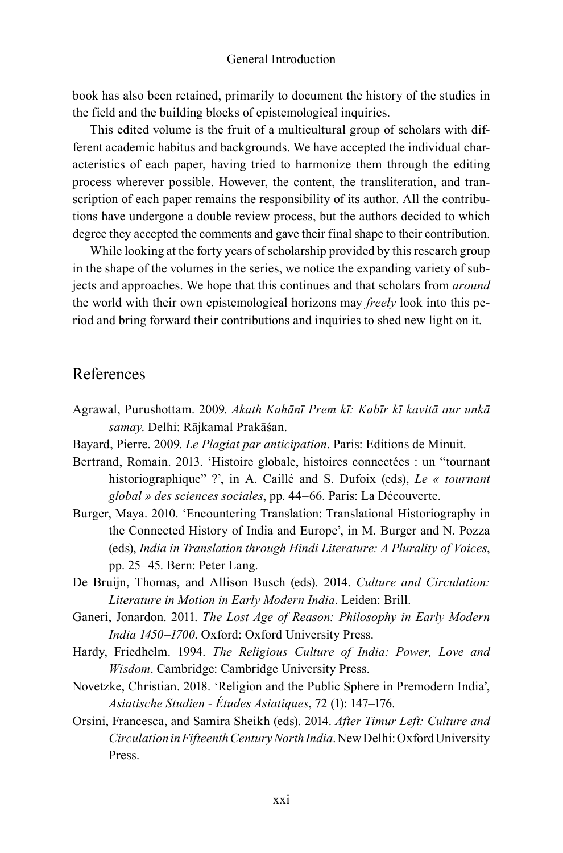book has also been retained, primarily to document the history of the studies in the field and the building blocks of epistemological inquiries.

This edited volume is the fruit of a multicultural group of scholars with different academic habitus and backgrounds. We have accepted the individual characteristics of each paper, having tried to harmonize them through the editing process wherever possible. However, the content, the transliteration, and transcription of each paper remains the responsibility of its author. All the contributions have undergone a double review process, but the authors decided to which degree they accepted the comments and gave their final shape to their contribution.

While looking at the forty years of scholarship provided by this research group in the shape of the volumes in the series, we notice the expanding variety of subjects and approaches. We hope that this continues and that scholars from *around* the world with their own epistemological horizons may *freely* look into this period and bring forward their contributions and inquiries to shed new light on it.

## References

- Agrawal, Purushottam. 2009. *Akath Kahānī Prem kī: Kabīr kī kavitā aur unkā samay*. Delhi: Rājkamal Prakāśan.
- Bayard, Pierre. 2009. *Le Plagiat par anticipation*. Paris: Editions de Minuit.
- Bertrand, Romain. 2013. 'Histoire globale, histoires connectées : un "tournant historiographique" ?', in A. Caillé and S. Dufoix (eds), *Le « tournant global » des sciences sociales*, pp. 44–66. Paris: La Découverte.
- Burger, Maya. 2010. 'Encountering Translation: Translational Historiography in the Connected History of India and Europe', in M. Burger and N. Pozza (eds), *India in Translation through Hindi Literature: A Plurality of Voices*, pp. 25–45. Bern: Peter Lang.
- De Bruijn, Thomas, and Allison Busch (eds). 2014. *Culture and Circulation: Literature in Motion in Early Modern India*. Leiden: Brill.
- Ganeri, Jonardon. 2011. *The Lost Age of Reason: Philosophy in Early Modern India 1450–1700*. Oxford: Oxford University Press.
- Hardy, Friedhelm. 1994. *The Religious Culture of India: Power, Love and Wisdom*. Cambridge: Cambridge University Press.
- Novetzke, Christian. 2018. 'Religion and the Public Sphere in Premodern India', *Asiatische Studien - Études Asiatiques*, 72 (1): 147–176.
- Orsini, Francesca, and Samira Sheikh (eds). 2014. *After Timur Left: Culture and Circulation in Fifteenth Century North India*. New Delhi: Oxford University Press.